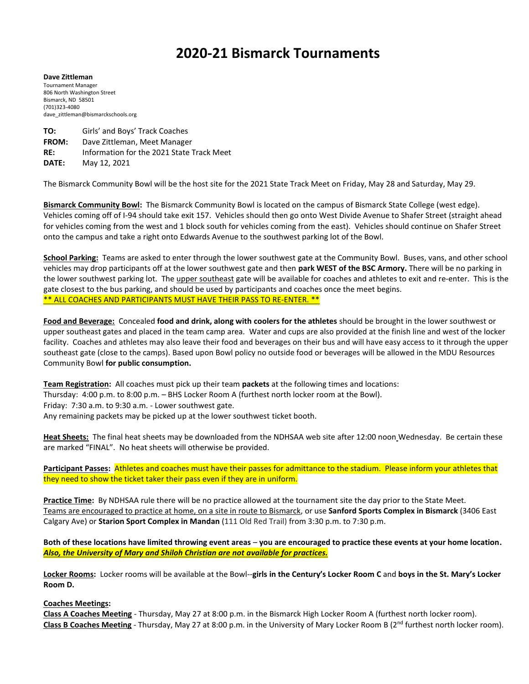## **2020-21 Bismarck Tournaments**

**Dave Zittleman** Tournament Manager 806 North Washington Street Bismarck, ND 58501 (701)323-4080 dave\_zittleman@bismarckschools.org

**TO:** Girls' and Boys' Track Coaches **FROM:** Dave Zittleman, Meet Manager **RE:** Information for the 2021 State Track Meet **DATE:** May 12, 2021

The Bismarck Community Bowl will be the host site for the 2021 State Track Meet on Friday, May 28 and Saturday, May 29.

**Bismarck Community Bowl:** The Bismarck Community Bowl is located on the campus of Bismarck State College (west edge). Vehicles coming off of I-94 should take exit 157. Vehicles should then go onto West Divide Avenue to Shafer Street (straight ahead for vehicles coming from the west and 1 block south for vehicles coming from the east). Vehicles should continue on Shafer Street onto the campus and take a right onto Edwards Avenue to the southwest parking lot of the Bowl.

**School Parking:** Teams are asked to enter through the lower southwest gate at the Community Bowl. Buses, vans, and other school vehicles may drop participants off at the lower southwest gate and then **park WEST of the BSC Armory.** There will be no parking in the lower southwest parking lot. The upper southeast gate will be available for coaches and athletes to exit and re-enter. This is the gate closest to the bus parking, and should be used by participants and coaches once the meet begins. \*\* ALL COACHES AND PARTICIPANTS MUST HAVE THEIR PASS TO RE-ENTER. \*\*

**Food and Beverage:** Concealed **food and drink, along with coolers for the athletes** should be brought in the lower southwest or upper southeast gates and placed in the team camp area. Water and cups are also provided at the finish line and west of the locker facility. Coaches and athletes may also leave their food and beverages on their bus and will have easy access to it through the upper southeast gate (close to the camps). Based upon Bowl policy no outside food or beverages will be allowed in the MDU Resources Community Bowl **for public consumption.**

**Team Registration:** All coaches must pick up their team **packets** at the following times and locations: Thursday: 4:00 p.m. to 8:00 p.m. – BHS Locker Room A (furthest north locker room at the Bowl). Friday: 7:30 a.m. to 9:30 a.m. - Lower southwest gate. Any remaining packets may be picked up at the lower southwest ticket booth.

**Heat Sheets:** The final heat sheets may be downloaded from the NDHSAA web site after 12:00 noon Wednesday. Be certain these are marked "FINAL". No heat sheets will otherwise be provided.

**Participant Passes:** Athletes and coaches must have their passes for admittance to the stadium. Please inform your athletes that they need to show the ticket taker their pass even if they are in uniform.

**Practice Time:** By NDHSAA rule there will be no practice allowed at the tournament site the day prior to the State Meet. Teams are encouraged to practice at home, on a site in route to Bismarck, or use **Sanford Sports Complex in Bismarck** (3406 East Calgary Ave) or **Starion Sport Complex in Mandan** (111 Old Red Trail) from 3:30 p.m. to 7:30 p.m.

**Both of these locations have limited throwing event areas** – **you are encouraged to practice these events at your home location.**  *Also, the University of Mary and Shiloh Christian are not available for practices.*

**Locker Rooms:** Locker rooms will be available at the Bowl--**girls in the Century's Locker Room C** and **boys in the St. Mary's Locker Room D.**

## **Coaches Meetings:**

**Class A Coaches Meeting** - Thursday, May 27 at 8:00 p.m. in the Bismarck High Locker Room A (furthest north locker room). Class B Coaches Meeting - Thursday, May 27 at 8:00 p.m. in the University of Mary Locker Room B (2<sup>nd</sup> furthest north locker room).